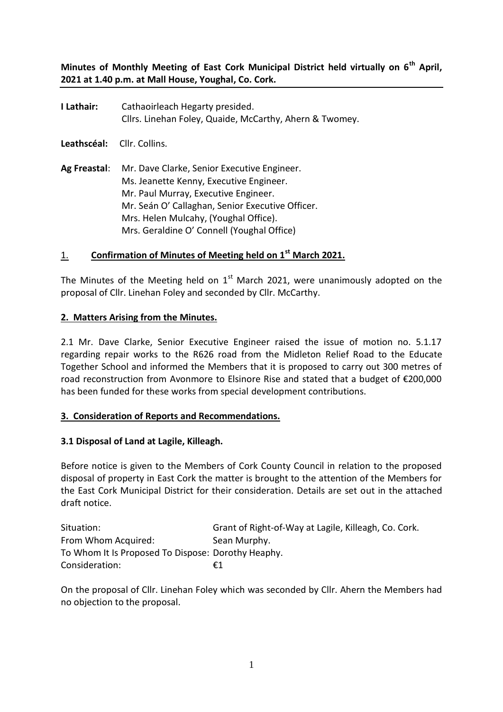**Minutes of Monthly Meeting of East Cork Municipal District held virtually on 6th April, 2021 at 1.40 p.m. at Mall House, Youghal, Co. Cork.**

| I Lathair: | Cathaoirleach Hegarty presided.                         |  |  |
|------------|---------------------------------------------------------|--|--|
|            | Cllrs. Linehan Foley, Quaide, McCarthy, Ahern & Twomey. |  |  |

**Leathscéal:** Cllr. Collins.

**Ag Freastal**: Mr. Dave Clarke, Senior Executive Engineer. Ms. Jeanette Kenny, Executive Engineer. Mr. Paul Murray, Executive Engineer. Mr. Seán O' Callaghan, Senior Executive Officer. Mrs. Helen Mulcahy, (Youghal Office). Mrs. Geraldine O' Connell (Youghal Office)

# 1. **Confirmation of Minutes of Meeting held on 1st March 2021.**

The Minutes of the Meeting held on  $1<sup>st</sup>$  March 2021, were unanimously adopted on the proposal of Cllr. Linehan Foley and seconded by Cllr. McCarthy.

## **2. Matters Arising from the Minutes.**

2.1 Mr. Dave Clarke, Senior Executive Engineer raised the issue of motion no. 5.1.17 regarding repair works to the R626 road from the Midleton Relief Road to the Educate Together School and informed the Members that it is proposed to carry out 300 metres of road reconstruction from Avonmore to Elsinore Rise and stated that a budget of €200,000 has been funded for these works from special development contributions.

## **3. Consideration of Reports and Recommendations.**

## **3.1 Disposal of Land at Lagile, Killeagh.**

Before notice is given to the Members of Cork County Council in relation to the proposed disposal of property in East Cork the matter is brought to the attention of the Members for the East Cork Municipal District for their consideration. Details are set out in the attached draft notice.

| Situation:                                         | Grant of Right-of-Way at Lagile, Killeagh, Co. Cork. |
|----------------------------------------------------|------------------------------------------------------|
| From Whom Acquired:                                | Sean Murphy.                                         |
| To Whom It Is Proposed To Dispose: Dorothy Heaphy. |                                                      |
| Consideration:                                     | ŧ1                                                   |

On the proposal of Cllr. Linehan Foley which was seconded by Cllr. Ahern the Members had no objection to the proposal.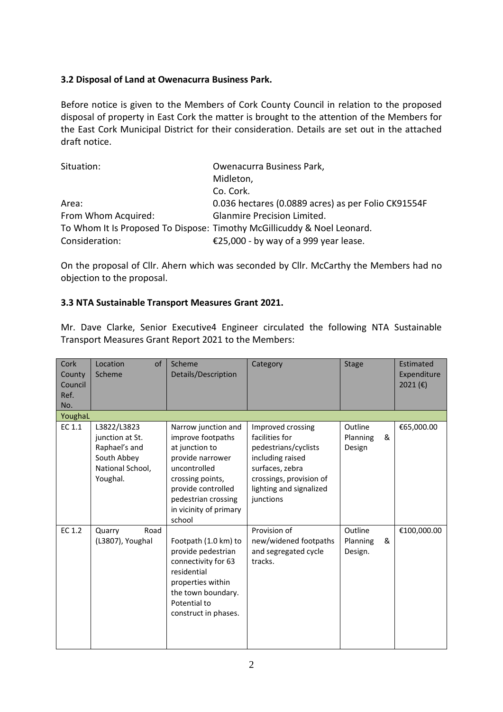#### **3.2 Disposal of Land at Owenacurra Business Park.**

Before notice is given to the Members of Cork County Council in relation to the proposed disposal of property in East Cork the matter is brought to the attention of the Members for the East Cork Municipal District for their consideration. Details are set out in the attached draft notice.

| Situation:          | Owenacurra Business Park,                                               |  |  |
|---------------------|-------------------------------------------------------------------------|--|--|
|                     | Midleton,                                                               |  |  |
|                     | Co. Cork.                                                               |  |  |
| Area:               | 0.036 hectares (0.0889 acres) as per Folio CK91554F                     |  |  |
| From Whom Acquired: | Glanmire Precision Limited.                                             |  |  |
|                     | To Whom It Is Proposed To Dispose: Timothy McGillicuddy & Noel Leonard. |  |  |
| Consideration:      | €25,000 - by way of a 999 year lease.                                   |  |  |

On the proposal of Cllr. Ahern which was seconded by Cllr. McCarthy the Members had no objection to the proposal.

#### **3.3 NTA Sustainable Transport Measures Grant 2021.**

Mr. Dave Clarke, Senior Executive4 Engineer circulated the following NTA Sustainable Transport Measures Grant Report 2021 to the Members:

| Cork<br>County<br>Council<br>Ref.<br>No. | Location<br>of<br>Scheme                                                                       | Scheme<br>Details/Description                                                                                                                                                                       | Category                                                                                                                                                              | <b>Stage</b>                        | Estimated<br>Expenditure<br>$2021$ (€) |
|------------------------------------------|------------------------------------------------------------------------------------------------|-----------------------------------------------------------------------------------------------------------------------------------------------------------------------------------------------------|-----------------------------------------------------------------------------------------------------------------------------------------------------------------------|-------------------------------------|----------------------------------------|
| YoughaL                                  |                                                                                                |                                                                                                                                                                                                     |                                                                                                                                                                       |                                     |                                        |
| EC 1.1                                   | L3822/L3823<br>junction at St.<br>Raphael's and<br>South Abbey<br>National School,<br>Youghal. | Narrow junction and<br>improve footpaths<br>at junction to<br>provide narrower<br>uncontrolled<br>crossing points,<br>provide controlled<br>pedestrian crossing<br>in vicinity of primary<br>school | Improved crossing<br>facilities for<br>pedestrians/cyclists<br>including raised<br>surfaces, zebra<br>crossings, provision of<br>lighting and signalized<br>junctions | Outline<br>Planning<br>&<br>Design  | €65,000.00                             |
| EC 1.2                                   | Road<br>Quarry<br>(L3807), Youghal                                                             | Footpath (1.0 km) to<br>provide pedestrian<br>connectivity for 63<br>residential<br>properties within<br>the town boundary.<br>Potential to<br>construct in phases.                                 | Provision of<br>new/widened footpaths<br>and segregated cycle<br>tracks.                                                                                              | Outline<br>Planning<br>&<br>Design. | €100,000.00                            |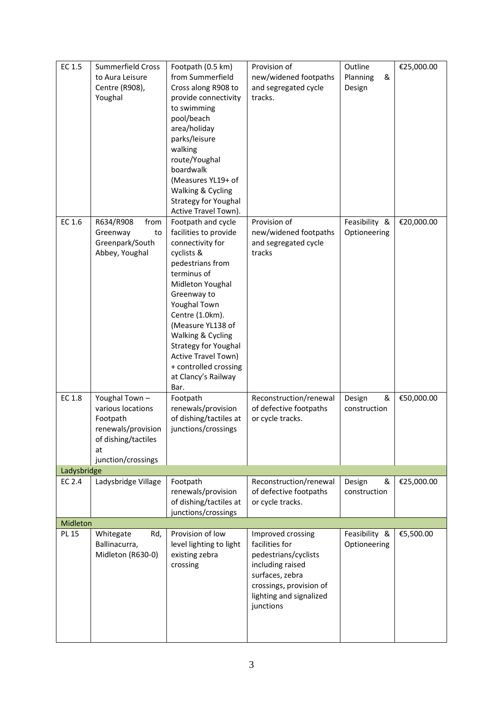| EC 1.5       | Summerfield Cross<br>to Aura Leisure<br>Centre (R908),<br>Youghal                                                       | Footpath (0.5 km)<br>from Summerfield<br>Cross along R908 to<br>provide connectivity<br>to swimming<br>pool/beach<br>area/holiday<br>parks/leisure<br>walking<br>route/Youghal<br>boardwalk<br>(Measures YL19+ of<br>Walking & Cycling<br><b>Strategy for Youghal</b><br>Active Travel Town).                                                  | Provision of<br>new/widened footpaths<br>and segregated cycle<br>tracks.                                                                                              | Outline<br>Planning<br>&<br>Design | €25,000.00 |
|--------------|-------------------------------------------------------------------------------------------------------------------------|------------------------------------------------------------------------------------------------------------------------------------------------------------------------------------------------------------------------------------------------------------------------------------------------------------------------------------------------|-----------------------------------------------------------------------------------------------------------------------------------------------------------------------|------------------------------------|------------|
| EC 1.6       | R634/R908<br>from<br>Greenway<br>to<br>Greenpark/South<br>Abbey, Youghal                                                | Footpath and cycle<br>facilities to provide<br>connectivity for<br>cyclists &<br>pedestrians from<br>terminus of<br>Midleton Youghal<br>Greenway to<br>Youghal Town<br>Centre (1.0km).<br>(Measure YL138 of<br>Walking & Cycling<br><b>Strategy for Youghal</b><br>Active Travel Town)<br>+ controlled crossing<br>at Clancy's Railway<br>Bar. | Provision of<br>new/widened footpaths<br>and segregated cycle<br>tracks                                                                                               | Feasibility &<br>Optioneering      | €20,000.00 |
| EC 1.8       | Youghal Town-<br>various locations<br>Footpath<br>renewals/provision<br>of dishing/tactiles<br>at<br>junction/crossings | Footpath<br>renewals/provision<br>of dishing/tactiles at<br>junctions/crossings                                                                                                                                                                                                                                                                | Reconstruction/renewal<br>of defective footpaths<br>or cycle tracks.                                                                                                  | Design<br>&<br>construction        | €50,000.00 |
| Ladysbridge  |                                                                                                                         |                                                                                                                                                                                                                                                                                                                                                |                                                                                                                                                                       |                                    |            |
| EC 2.4       | Ladysbridge Village                                                                                                     | Footpath<br>renewals/provision<br>of dishing/tactiles at<br>junctions/crossings                                                                                                                                                                                                                                                                | Reconstruction/renewal<br>of defective footpaths<br>or cycle tracks.                                                                                                  | Design<br>&<br>construction        | €25,000.00 |
| Midleton     |                                                                                                                         |                                                                                                                                                                                                                                                                                                                                                |                                                                                                                                                                       |                                    |            |
| <b>PL 15</b> | Whitegate<br>Rd,<br>Ballinacurra,<br>Midleton (R630-0)                                                                  | Provision of low<br>level lighting to light<br>existing zebra<br>crossing                                                                                                                                                                                                                                                                      | Improved crossing<br>facilities for<br>pedestrians/cyclists<br>including raised<br>surfaces, zebra<br>crossings, provision of<br>lighting and signalized<br>junctions | Feasibility &<br>Optioneering      | €5,500.00  |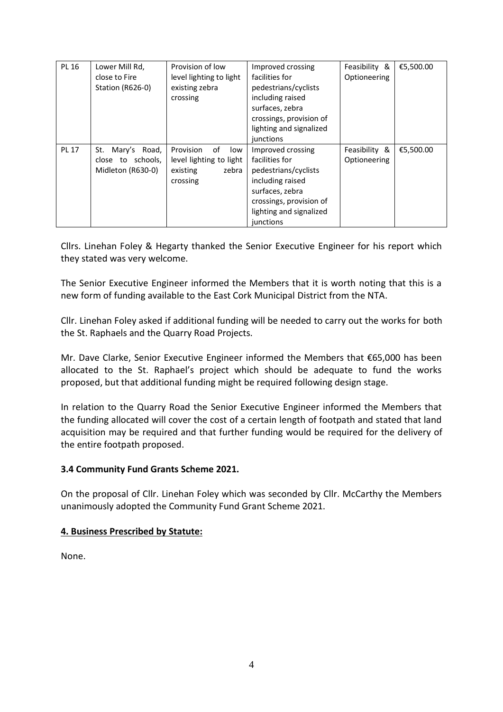| PL 16        | Lower Mill Rd,<br>close to Fire<br>Station (R626-0)           | Provision of low<br>level lighting to light<br>existing zebra<br>crossing          | Improved crossing<br>facilities for<br>pedestrians/cyclists<br>including raised<br>surfaces, zebra<br>crossings, provision of<br>lighting and signalized<br>junctions | Feasibility &<br>Optioneering | €5,500.00 |
|--------------|---------------------------------------------------------------|------------------------------------------------------------------------------------|-----------------------------------------------------------------------------------------------------------------------------------------------------------------------|-------------------------------|-----------|
| <b>PL 17</b> | Mary's Road,<br>St.<br>close to schools,<br>Midleton (R630-0) | Provision<br>οf<br>low<br>level lighting to light<br>existing<br>zebra<br>crossing | Improved crossing<br>facilities for<br>pedestrians/cyclists<br>including raised<br>surfaces, zebra<br>crossings, provision of<br>lighting and signalized<br>junctions | Feasibility &<br>Optioneering | €5,500.00 |

Cllrs. Linehan Foley & Hegarty thanked the Senior Executive Engineer for his report which they stated was very welcome.

The Senior Executive Engineer informed the Members that it is worth noting that this is a new form of funding available to the East Cork Municipal District from the NTA.

Cllr. Linehan Foley asked if additional funding will be needed to carry out the works for both the St. Raphaels and the Quarry Road Projects.

Mr. Dave Clarke, Senior Executive Engineer informed the Members that €65,000 has been allocated to the St. Raphael's project which should be adequate to fund the works proposed, but that additional funding might be required following design stage.

In relation to the Quarry Road the Senior Executive Engineer informed the Members that the funding allocated will cover the cost of a certain length of footpath and stated that land acquisition may be required and that further funding would be required for the delivery of the entire footpath proposed.

## **3.4 Community Fund Grants Scheme 2021.**

On the proposal of Cllr. Linehan Foley which was seconded by Cllr. McCarthy the Members unanimously adopted the Community Fund Grant Scheme 2021.

#### **4. Business Prescribed by Statute:**

None.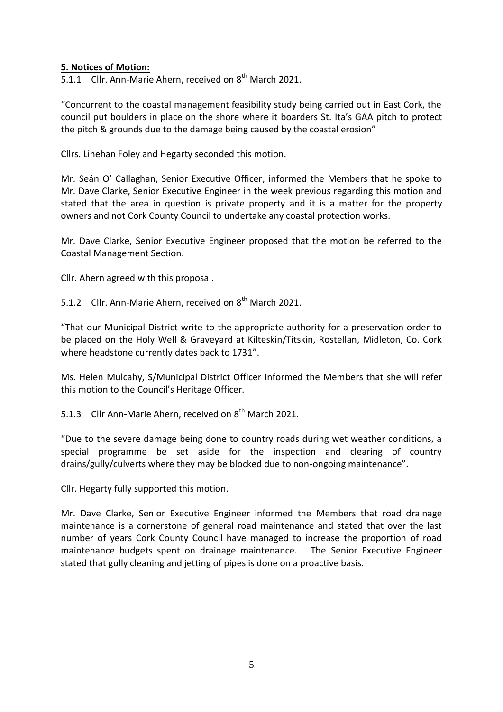## **5. Notices of Motion:**

5.1.1 Cllr. Ann-Marie Ahern, received on  $8^{th}$  March 2021.

"Concurrent to the coastal management feasibility study being carried out in East Cork, the council put boulders in place on the shore where it boarders St. Ita's GAA pitch to protect the pitch & grounds due to the damage being caused by the coastal erosion"

Cllrs. Linehan Foley and Hegarty seconded this motion.

Mr. Seán O' Callaghan, Senior Executive Officer, informed the Members that he spoke to Mr. Dave Clarke, Senior Executive Engineer in the week previous regarding this motion and stated that the area in question is private property and it is a matter for the property owners and not Cork County Council to undertake any coastal protection works.

Mr. Dave Clarke, Senior Executive Engineer proposed that the motion be referred to the Coastal Management Section.

Cllr. Ahern agreed with this proposal.

5.1.2 Cllr. Ann-Marie Ahern, received on  $8^{th}$  March 2021.

"That our Municipal District write to the appropriate authority for a preservation order to be placed on the Holy Well & Graveyard at Kilteskin/Titskin, Rostellan, Midleton, Co. Cork where headstone currently dates back to 1731".

Ms. Helen Mulcahy, S/Municipal District Officer informed the Members that she will refer this motion to the Council's Heritage Officer.

5.1.3 Cllr Ann-Marie Ahern, received on  $8<sup>th</sup>$  March 2021.

"Due to the severe damage being done to country roads during wet weather conditions, a special programme be set aside for the inspection and clearing of country drains/gully/culverts where they may be blocked due to non-ongoing maintenance".

Cllr. Hegarty fully supported this motion.

Mr. Dave Clarke, Senior Executive Engineer informed the Members that road drainage maintenance is a cornerstone of general road maintenance and stated that over the last number of years Cork County Council have managed to increase the proportion of road maintenance budgets spent on drainage maintenance. The Senior Executive Engineer stated that gully cleaning and jetting of pipes is done on a proactive basis.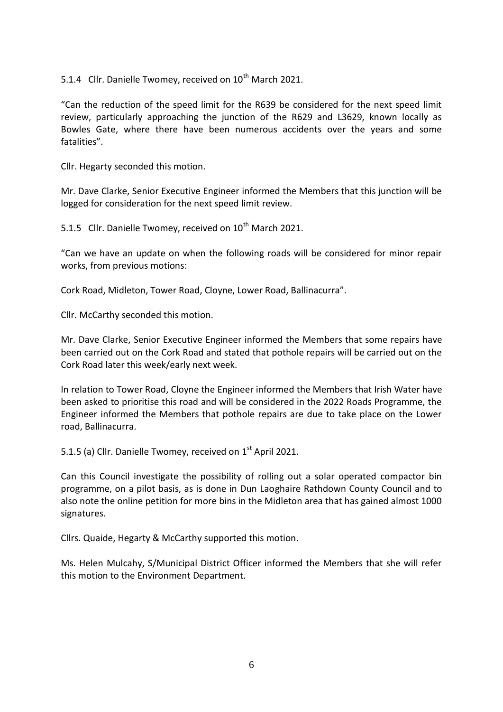5.1.4 Cllr. Danielle Twomey, received on 10<sup>th</sup> March 2021.

"Can the reduction of the speed limit for the R639 be considered for the next speed limit review, particularly approaching the junction of the R629 and L3629, known locally as Bowles Gate, where there have been numerous accidents over the years and some fatalities".

Cllr. Hegarty seconded this motion.

Mr. Dave Clarke, Senior Executive Engineer informed the Members that this junction will be logged for consideration for the next speed limit review.

5.1.5 Cllr. Danielle Twomey, received on 10<sup>th</sup> March 2021.

"Can we have an update on when the following roads will be considered for minor repair works, from previous motions:

Cork Road, Midleton, Tower Road, Cloyne, Lower Road, Ballinacurra".

Cllr. McCarthy seconded this motion.

Mr. Dave Clarke, Senior Executive Engineer informed the Members that some repairs have been carried out on the Cork Road and stated that pothole repairs will be carried out on the Cork Road later this week/early next week.

In relation to Tower Road, Cloyne the Engineer informed the Members that Irish Water have been asked to prioritise this road and will be considered in the 2022 Roads Programme, the Engineer informed the Members that pothole repairs are due to take place on the Lower road, Ballinacurra.

5.1.5 (a) Cllr. Danielle Twomey, received on  $1<sup>st</sup>$  April 2021.

Can this Council investigate the possibility of rolling out a solar operated compactor bin programme, on a pilot basis, as is done in Dun Laoghaire Rathdown County Council and to also note the online petition for more bins in the Midleton area that has gained almost 1000 signatures.

Cllrs. Quaide, Hegarty & McCarthy supported this motion.

Ms. Helen Mulcahy, S/Municipal District Officer informed the Members that she will refer this motion to the Environment Department.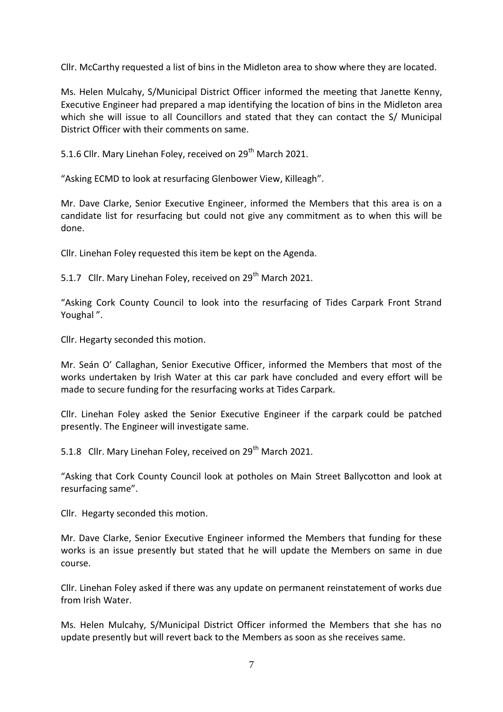Cllr. McCarthy requested a list of bins in the Midleton area to show where they are located.

Ms. Helen Mulcahy, S/Municipal District Officer informed the meeting that Janette Kenny, Executive Engineer had prepared a map identifying the location of bins in the Midleton area which she will issue to all Councillors and stated that they can contact the S/ Municipal District Officer with their comments on same.

5.1.6 Cllr. Mary Linehan Foley, received on 29<sup>th</sup> March 2021.

"Asking ECMD to look at resurfacing Glenbower View, Killeagh".

Mr. Dave Clarke, Senior Executive Engineer, informed the Members that this area is on a candidate list for resurfacing but could not give any commitment as to when this will be done.

Cllr. Linehan Foley requested this item be kept on the Agenda.

5.1.7 Cllr. Mary Linehan Foley, received on 29<sup>th</sup> March 2021.

"Asking Cork County Council to look into the resurfacing of Tides Carpark Front Strand Youghal ".

Cllr. Hegarty seconded this motion.

Mr. Seán O' Callaghan, Senior Executive Officer, informed the Members that most of the works undertaken by Irish Water at this car park have concluded and every effort will be made to secure funding for the resurfacing works at Tides Carpark.

Cllr. Linehan Foley asked the Senior Executive Engineer if the carpark could be patched presently. The Engineer will investigate same.

5.1.8 Cllr. Mary Linehan Foley, received on 29<sup>th</sup> March 2021.

"Asking that Cork County Council look at potholes on Main Street Ballycotton and look at resurfacing same".

Cllr. Hegarty seconded this motion.

Mr. Dave Clarke, Senior Executive Engineer informed the Members that funding for these works is an issue presently but stated that he will update the Members on same in due course.

Cllr. Linehan Foley asked if there was any update on permanent reinstatement of works due from Irish Water.

Ms. Helen Mulcahy, S/Municipal District Officer informed the Members that she has no update presently but will revert back to the Members as soon as she receives same.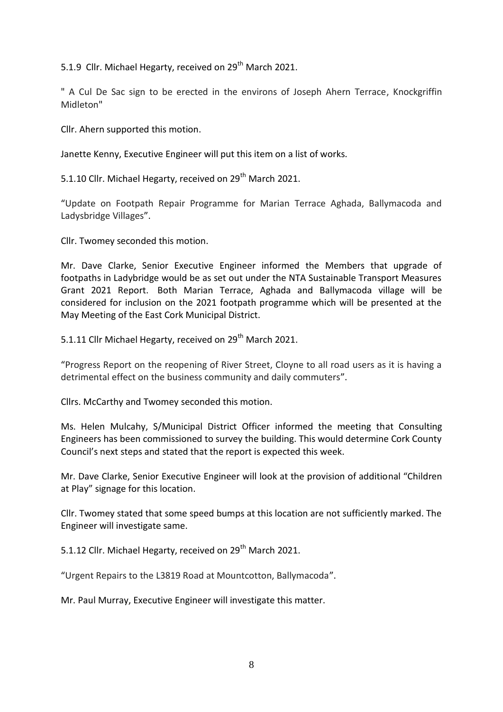5.1.9 Cllr. Michael Hegarty, received on 29<sup>th</sup> March 2021.

" A Cul De Sac sign to be erected in the environs of Joseph Ahern Terrace, Knockgriffin Midleton"

Cllr. Ahern supported this motion.

Janette Kenny, Executive Engineer will put this item on a list of works.

5.1.10 Cllr. Michael Hegarty, received on 29<sup>th</sup> March 2021.

"Update on Footpath Repair Programme for Marian Terrace Aghada, Ballymacoda and Ladysbridge Villages".

Cllr. Twomey seconded this motion.

Mr. Dave Clarke, Senior Executive Engineer informed the Members that upgrade of footpaths in Ladybridge would be as set out under the NTA Sustainable Transport Measures Grant 2021 Report. Both Marian Terrace, Aghada and Ballymacoda village will be considered for inclusion on the 2021 footpath programme which will be presented at the May Meeting of the East Cork Municipal District.

5.1.11 Cllr Michael Hegarty, received on 29<sup>th</sup> March 2021.

"Progress Report on the reopening of River Street, Cloyne to all road users as it is having a detrimental effect on the business community and daily commuters".

Cllrs. McCarthy and Twomey seconded this motion.

Ms. Helen Mulcahy, S/Municipal District Officer informed the meeting that Consulting Engineers has been commissioned to survey the building. This would determine Cork County Council's next steps and stated that the report is expected this week.

Mr. Dave Clarke, Senior Executive Engineer will look at the provision of additional "Children at Play" signage for this location.

Cllr. Twomey stated that some speed bumps at this location are not sufficiently marked. The Engineer will investigate same.

5.1.12 Cllr. Michael Hegarty, received on 29<sup>th</sup> March 2021.

"Urgent Repairs to the L3819 Road at Mountcotton, Ballymacoda".

Mr. Paul Murray, Executive Engineer will investigate this matter.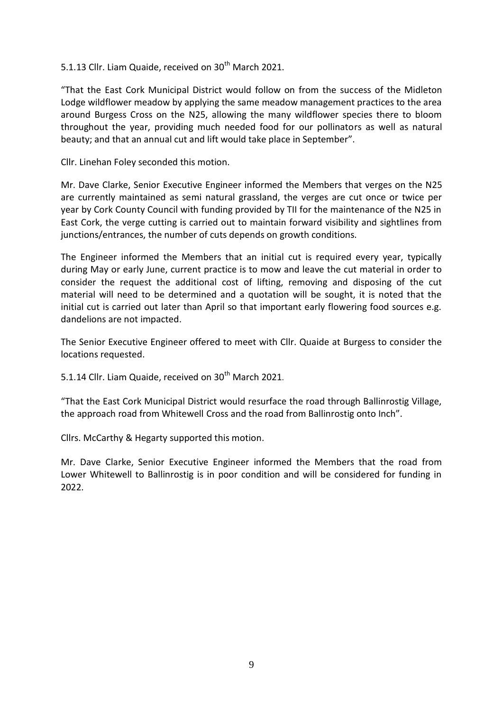5.1.13 Cllr. Liam Quaide, received on 30<sup>th</sup> March 2021.

"That the East Cork Municipal District would follow on from the success of the Midleton Lodge wildflower meadow by applying the same meadow management practices to the area around Burgess Cross on the N25, allowing the many wildflower species there to bloom throughout the year, providing much needed food for our pollinators as well as natural beauty; and that an annual cut and lift would take place in September".

Cllr. Linehan Foley seconded this motion.

Mr. Dave Clarke, Senior Executive Engineer informed the Members that verges on the N25 are currently maintained as semi natural grassland, the verges are cut once or twice per year by Cork County Council with funding provided by TII for the maintenance of the N25 in East Cork, the verge cutting is carried out to maintain forward visibility and sightlines from junctions/entrances, the number of cuts depends on growth conditions.

The Engineer informed the Members that an initial cut is required every year, typically during May or early June, current practice is to mow and leave the cut material in order to consider the request the additional cost of lifting, removing and disposing of the cut material will need to be determined and a quotation will be sought, it is noted that the initial cut is carried out later than April so that important early flowering food sources e.g. dandelions are not impacted.

The Senior Executive Engineer offered to meet with Cllr. Quaide at Burgess to consider the locations requested.

5.1.14 Cllr. Liam Quaide, received on 30<sup>th</sup> March 2021.

"That the East Cork Municipal District would resurface the road through Ballinrostig Village, the approach road from Whitewell Cross and the road from Ballinrostig onto Inch".

Cllrs. McCarthy & Hegarty supported this motion.

Mr. Dave Clarke, Senior Executive Engineer informed the Members that the road from Lower Whitewell to Ballinrostig is in poor condition and will be considered for funding in 2022.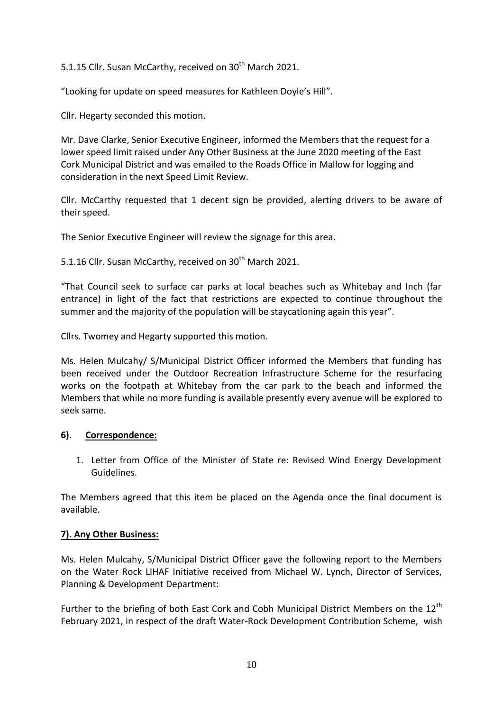5.1.15 Cllr. Susan McCarthy, received on 30<sup>th</sup> March 2021.

"Looking for update on speed measures for Kathleen Doyle's Hill".

Cllr. Hegarty seconded this motion.

Mr. Dave Clarke, Senior Executive Engineer, informed the Members that the request for a lower speed limit raised under Any Other Business at the June 2020 meeting of the East Cork Municipal District and was emailed to the Roads Office in Mallow for logging and consideration in the next Speed Limit Review.

Cllr. McCarthy requested that 1 decent sign be provided, alerting drivers to be aware of their speed.

The Senior Executive Engineer will review the signage for this area.

5.1.16 Cllr. Susan McCarthy, received on 30<sup>th</sup> March 2021.

"That Council seek to surface car parks at local beaches such as Whitebay and Inch (far entrance) in light of the fact that restrictions are expected to continue throughout the summer and the majority of the population will be staycationing again this year".

Cllrs. Twomey and Hegarty supported this motion.

Ms. Helen Mulcahy/ S/Municipal District Officer informed the Members that funding has been received under the Outdoor Recreation Infrastructure Scheme for the resurfacing works on the footpath at Whitebay from the car park to the beach and informed the Members that while no more funding is available presently every avenue will be explored to seek same.

## **6)**. **Correspondence:**

1. Letter from Office of the Minister of State re: Revised Wind Energy Development Guidelines.

The Members agreed that this item be placed on the Agenda once the final document is available.

## **7). Any Other Business:**

Ms. Helen Mulcahy, S/Municipal District Officer gave the following report to the Members on the Water Rock LIHAF Initiative received from Michael W. Lynch, Director of Services, Planning & Development Department:

Further to the briefing of both East Cork and Cobh Municipal District Members on the 12<sup>th</sup> February 2021, in respect of the draft Water-Rock Development Contribution Scheme, wish